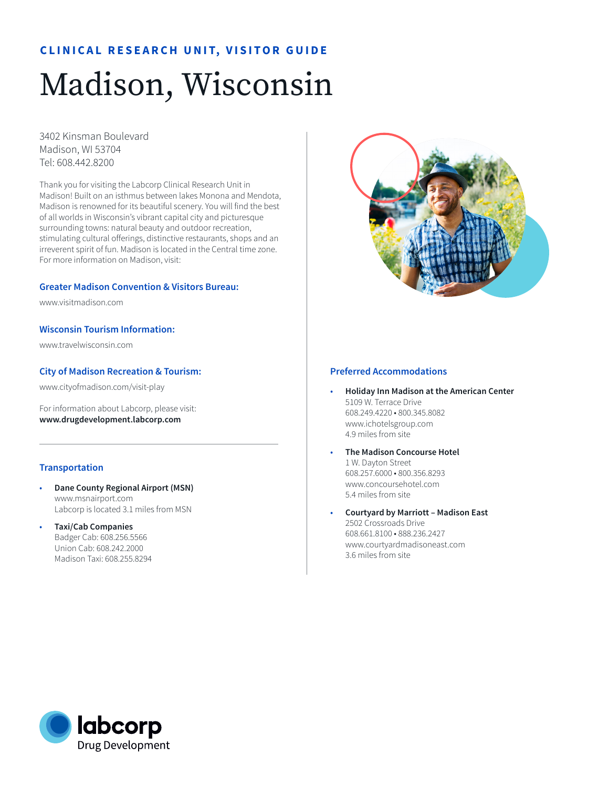# **CLINICAL RESEARCH UNIT, VISITOR GUIDE**

# Madison, Wisconsin

3402 Kinsman Boulevard Madison, WI 53704 Tel: 608.442.8200

Thank you for visiting the Labcorp Clinical Research Unit in Madison! Built on an isthmus between lakes Monona and Mendota, Madison is renowned for its beautiful scenery. You will find the best of all worlds in Wisconsin's vibrant capital city and picturesque surrounding towns: natural beauty and outdoor recreation, stimulating cultural offerings, distinctive restaurants, shops and an irreverent spirit of fun. Madison is located in the Central time zone. For more information on Madison, visit:

#### **Greater Madison Convention & Visitors Bureau:**

www.visitmadison.com

**Wisconsin Tourism Information:** 

www.travelwisconsin.com

## **City of Madison Recreation & Tourism:**

www.cityofmadison.com/visit-play

For information about Labcorp, please visit: **www.drugdevelopment.labcorp.com** 

#### **Transportation**

- **Dane County Regional Airport (MSN)** www.msnairport.com Labcorp is located 3.1 miles from MSN
- **Taxi/Cab Companies**  Badger Cab: 608.256.5566 Union Cab: 608.242.2000 Madison Taxi: 608.255.8294



#### **Preferred Accommodations**

- **Holiday Inn Madison at the American Center** 5109 W. Terrace Drive 608.249.4220 • 800.345.8082 www.ichotelsgroup.com 4.9 miles from site
- **The Madison Concourse Hotel**  1 W. Dayton Street 608.257.6000 • 800.356.8293 www.concoursehotel.com 5.4 miles from site
- **Courtyard by Marriott Madison East** 2502 Crossroads Drive 608.661.8100 • 888.236.2427 www.courtyardmadisoneast.com 3.6 miles from site